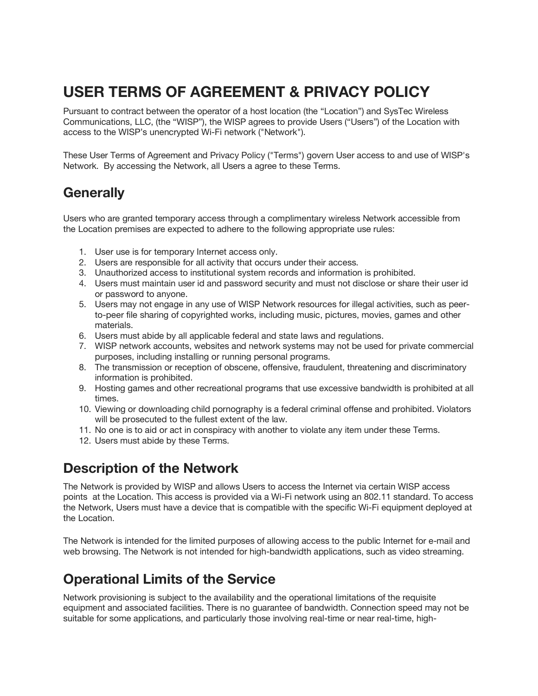# **USER TERMS OF AGREEMENT & PRIVACY POLICY**

Pursuant to contract between the operator of a host location (the "Location") and SysTec Wireless Communications, LLC, (the "WISP"), the WISP agrees to provide Users ("Users") of the Location with access to the WISP's unencrypted Wi-Fi network ("Network").

These User Terms of Agreement and Privacy Policy ("Terms") govern User access to and use of WISP's Network. By accessing the Network, all Users a agree to these Terms.

### **Generally**

Users who are granted temporary access through a complimentary wireless Network accessible from the Location premises are expected to adhere to the following appropriate use rules:

- 1. User use is for temporary Internet access only.
- 2. Users are responsible for all activity that occurs under their access.
- 3. Unauthorized access to institutional system records and information is prohibited.
- 4. Users must maintain user id and password security and must not disclose or share their user id or password to anyone.
- 5. Users may not engage in any use of WISP Network resources for illegal activities, such as peerto-peer file sharing of copyrighted works, including music, pictures, movies, games and other materials.
- 6. Users must abide by all applicable federal and state laws and regulations.
- 7. WISP network accounts, websites and network systems may not be used for private commercial purposes, including installing or running personal programs.
- 8. The transmission or reception of obscene, offensive, fraudulent, threatening and discriminatory information is prohibited.
- 9. Hosting games and other recreational programs that use excessive bandwidth is prohibited at all times.
- 10. Viewing or downloading child pornography is a federal criminal offense and prohibited. Violators will be prosecuted to the fullest extent of the law.
- 11. No one is to aid or act in conspiracy with another to violate any item under these Terms.
- 12. Users must abide by these Terms.

### **Description of the Network**

The Network is provided by WISP and allows Users to access the Internet via certain WISP access points at the Location. This access is provided via a Wi-Fi network using an 802.11 standard. To access the Network, Users must have a device that is compatible with the specific Wi-Fi equipment deployed at the Location.

The Network is intended for the limited purposes of allowing access to the public Internet for e-mail and web browsing. The Network is not intended for high-bandwidth applications, such as video streaming.

## **Operational Limits of the Service**

Network provisioning is subject to the availability and the operational limitations of the requisite equipment and associated facilities. There is no guarantee of bandwidth. Connection speed may not be suitable for some applications, and particularly those involving real-time or near real-time, high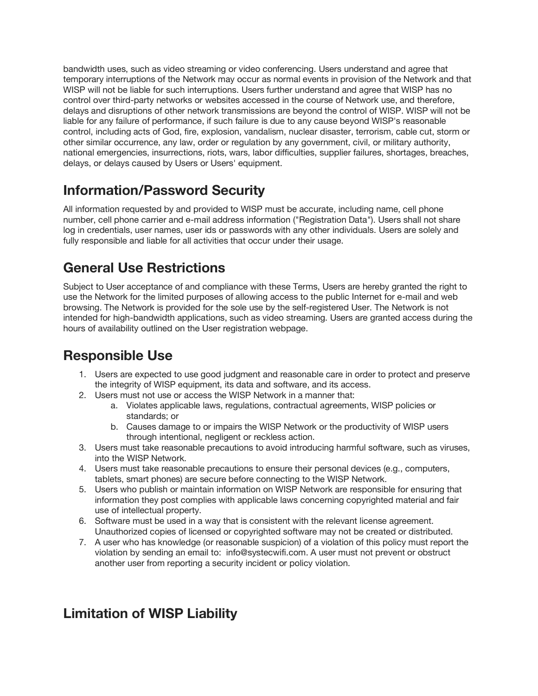bandwidth uses, such as video streaming or video conferencing. Users understand and agree that temporary interruptions of the Network may occur as normal events in provision of the Network and that WISP will not be liable for such interruptions. Users further understand and agree that WISP has no control over third-party networks or websites accessed in the course of Network use, and therefore, delays and disruptions of other network transmissions are beyond the control of WISP. WISP will not be liable for any failure of performance, if such failure is due to any cause beyond WISP's reasonable control, including acts of God, fire, explosion, vandalism, nuclear disaster, terrorism, cable cut, storm or other similar occurrence, any law, order or regulation by any government, civil, or military authority, national emergencies, insurrections, riots, wars, labor difficulties, supplier failures, shortages, breaches, delays, or delays caused by Users or Users' equipment.

## **Information/Password Security**

All information requested by and provided to WISP must be accurate, including name, cell phone number, cell phone carrier and e-mail address information ("Registration Data"). Users shall not share log in credentials, user names, user ids or passwords with any other individuals. Users are solely and fully responsible and liable for all activities that occur under their usage.

### **General Use Restrictions**

Subject to User acceptance of and compliance with these Terms, Users are hereby granted the right to use the Network for the limited purposes of allowing access to the public Internet for e-mail and web browsing. The Network is provided for the sole use by the self-registered User. The Network is not intended for high-bandwidth applications, such as video streaming. Users are granted access during the hours of availability outlined on the User registration webpage.

### **Responsible Use**

- 1. Users are expected to use good judgment and reasonable care in order to protect and preserve the integrity of WISP equipment, its data and software, and its access.
- 2. Users must not use or access the WISP Network in a manner that:
	- a. Violates applicable laws, regulations, contractual agreements, WISP policies or standards; or
	- b. Causes damage to or impairs the WISP Network or the productivity of WISP users through intentional, negligent or reckless action.
- 3. Users must take reasonable precautions to avoid introducing harmful software, such as viruses, into the WISP Network.
- 4. Users must take reasonable precautions to ensure their personal devices (e.g., computers, tablets, smart phones) are secure before connecting to the WISP Network.
- 5. Users who publish or maintain information on WISP Network are responsible for ensuring that information they post complies with applicable laws concerning copyrighted material and fair use of intellectual property.
- 6. Software must be used in a way that is consistent with the relevant license agreement. Unauthorized copies of licensed or copyrighted software may not be created or distributed.
- 7. A user who has knowledge (or reasonable suspicion) of a violation of this policy must report the violation by sending an email to: info@systecwifi.com. A user must not prevent or obstruct another user from reporting a security incident or policy violation.

## **Limitation of WISP Liability**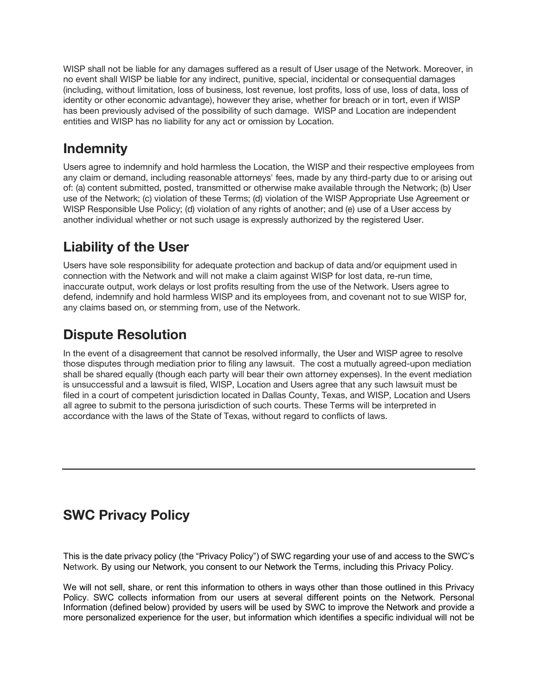WISP shall not be liable for any damages suffered as a result of User usage of the Network. Moreover, in no event shall WISP be liable for any indirect, punitive, special, incidental or consequential damages (including, without limitation, loss of business, lost revenue, lost profits, loss of use, loss of data, loss of identity or other economic advantage), however they arise, whether for breach or in tort, even if WISP has been previously advised of the possibility of such damage. WISP and Location are independent entities and WISP has no liability for any act or omission by Location.

## **Indemnity**

Users agree to indemnify and hold harmless the Location, the WISP and their respective employees from any claim or demand, including reasonable attorneys' fees, made by any third-party due to or arising out of: (a) content submitted, posted, transmitted or otherwise make available through the Network; (b) User use of the Network; (c) violation of these Terms; (d) violation of the WISP Appropriate Use Agreement or WISP Responsible Use Policy; (d) violation of any rights of another; and (e) use of a User access by another individual whether or not such usage is expressly authorized by the registered User.

## **Liability of the User**

Users have sole responsibility for adequate protection and backup of data and/or equipment used in connection with the Network and will not make a claim against WISP for lost data, re-run time, inaccurate output, work delays or lost profits resulting from the use of the Network. Users agree to defend, indemnify and hold harmless WISP and its employees from, and covenant not to sue WISP for, any claims based on, or stemming from, use of the Network.

## **Dispute Resolution**

In the event of a disagreement that cannot be resolved informally, the User and WISP agree to resolve those disputes through mediation prior to filing any lawsuit. The cost a mutually agreed-upon mediation shall be shared equally (though each party will bear their own attorney expenses). In the event mediation is unsuccessful and a lawsuit is filed, WISP, Location and Users agree that any such lawsuit must be filed in a court of competent jurisdiction located in Dallas County, Texas, and WISP, Location and Users all agree to submit to the persona jurisdiction of such courts. These Terms will be interpreted in accordance with the laws of the State of Texas, without regard to conflicts of laws.

## **SWC Privacy Policy**

This is the date privacy policy (the "Privacy Policy") of SWC regarding your use of and access to the SWC's Network. By using our Network, you consent to our Network the Terms, including this Privacy Policy.

We will not sell, share, or rent this information to others in ways other than those outlined in this Privacy Policy. SWC collects information from our users at several different points on the Network. Personal Information (defined below) provided by users will be used by SWC to improve the Network and provide a more personalized experience for the user, but information which identifies a specific individual will not be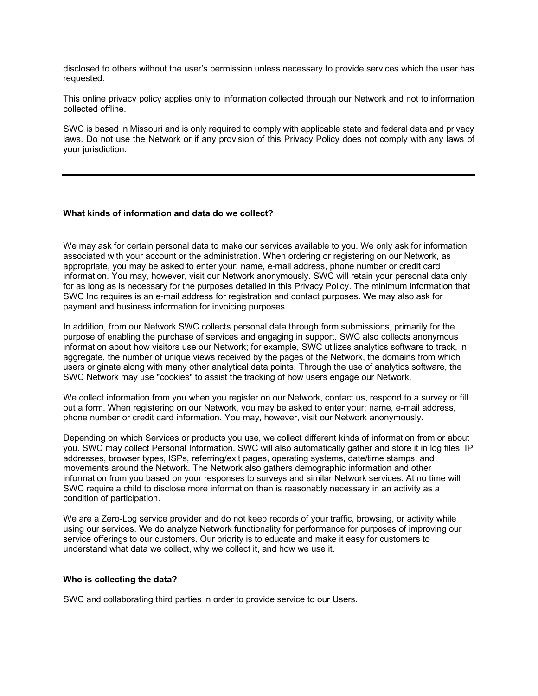disclosed to others without the user's permission unless necessary to provide services which the user has requested.

This online privacy policy applies only to information collected through our Network and not to information collected offline.

SWC is based in Missouri and is only required to comply with applicable state and federal data and privacy laws. Do not use the Network or if any provision of this Privacy Policy does not comply with any laws of your jurisdiction.

#### **What kinds of information and data do we collect?**

We may ask for certain personal data to make our services available to you. We only ask for information associated with your account or the administration. When ordering or registering on our Network, as appropriate, you may be asked to enter your: name, e-mail address, phone number or credit card information. You may, however, visit our Network anonymously. SWC will retain your personal data only for as long as is necessary for the purposes detailed in this Privacy Policy. The minimum information that SWC Inc requires is an e-mail address for registration and contact purposes. We may also ask for payment and business information for invoicing purposes.

In addition, from our Network SWC collects personal data through form submissions, primarily for the purpose of enabling the purchase of services and engaging in support. SWC also collects anonymous information about how visitors use our Network; for example, SWC utilizes analytics software to track, in aggregate, the number of unique views received by the pages of the Network, the domains from which users originate along with many other analytical data points. Through the use of analytics software, the SWC Network may use "cookies" to assist the tracking of how users engage our Network.

We collect information from you when you register on our Network, contact us, respond to a survey or fill out a form. When registering on our Network, you may be asked to enter your: name, e-mail address, phone number or credit card information. You may, however, visit our Network anonymously.

Depending on which Services or products you use, we collect different kinds of information from or about you. SWC may collect Personal Information. SWC will also automatically gather and store it in log files: IP addresses, browser types, ISPs, referring/exit pages, operating systems, date/time stamps, and movements around the Network. The Network also gathers demographic information and other information from you based on your responses to surveys and similar Network services. At no time will SWC require a child to disclose more information than is reasonably necessary in an activity as a condition of participation.

We are a Zero-Log service provider and do not keep records of your traffic, browsing, or activity while using our services. We do analyze Network functionality for performance for purposes of improving our service offerings to our customers. Our priority is to educate and make it easy for customers to understand what data we collect, why we collect it, and how we use it.

#### **Who is collecting the data?**

SWC and collaborating third parties in order to provide service to our Users.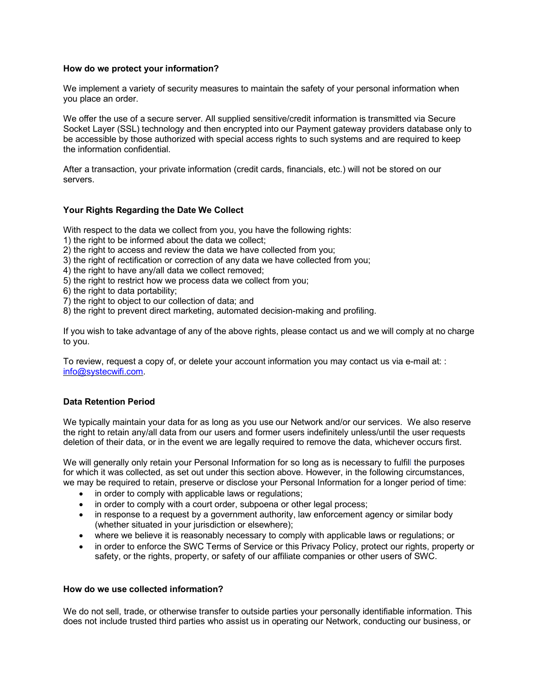#### **How do we protect your information?**

We implement a variety of security measures to maintain the safety of your personal information when you place an order.

We offer the use of a secure server. All supplied sensitive/credit information is transmitted via Secure Socket Layer (SSL) technology and then encrypted into our Payment gateway providers database only to be accessible by those authorized with special access rights to such systems and are required to keep the information confidential.

After a transaction, your private information (credit cards, financials, etc.) will not be stored on our servers.

#### **Your Rights Regarding the Date We Collect**

With respect to the data we collect from you, you have the following rights:

- 1) the right to be informed about the data we collect;
- 2) the right to access and review the data we have collected from you;
- 3) the right of rectification or correction of any data we have collected from you;
- 4) the right to have any/all data we collect removed;
- 5) the right to restrict how we process data we collect from you;
- 6) the right to data portability;
- 7) the right to object to our collection of data; and
- 8) the right to prevent direct marketing, automated decision-making and profiling.

If you wish to take advantage of any of the above rights, please contact us and we will comply at no charge to you.

To review, request a copy of, or delete your account information you may contact us via e-mail at: : info@systecwifi.com.

#### **Data Retention Period**

We typically maintain your data for as long as you use our Network and/or our services. We also reserve the right to retain any/all data from our users and former users indefinitely unless/until the user requests deletion of their data, or in the event we are legally required to remove the data, whichever occurs first.

We will generally only retain your Personal Information for so long as is necessary to fulfill the purposes for which it was collected, as set out under this section above. However, in the following circumstances, we may be required to retain, preserve or disclose your Personal Information for a longer period of time:

- in order to comply with applicable laws or regulations;
- in order to comply with a court order, subpoena or other legal process;
- in response to a request by a government authority, law enforcement agency or similar body (whether situated in your jurisdiction or elsewhere);
- where we believe it is reasonably necessary to comply with applicable laws or regulations; or
- in order to enforce the SWC Terms of Service or this Privacy Policy, protect our rights, property or safety, or the rights, property, or safety of our affiliate companies or other users of SWC.

#### **How do we use collected information?**

We do not sell, trade, or otherwise transfer to outside parties your personally identifiable information. This does not include trusted third parties who assist us in operating our Network, conducting our business, or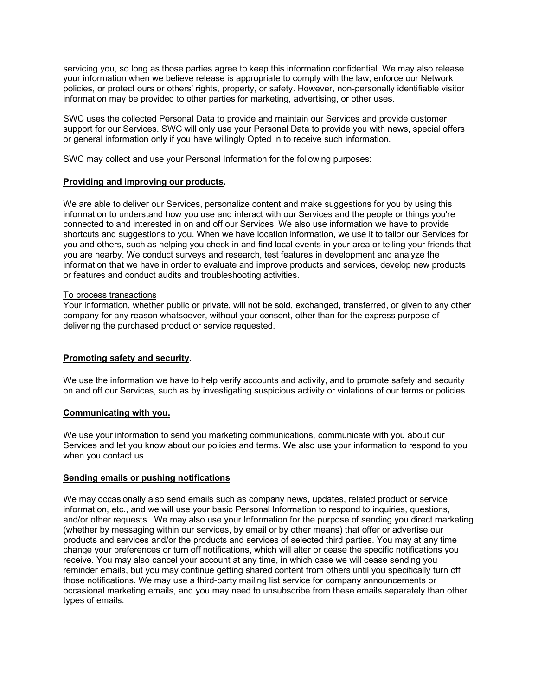servicing you, so long as those parties agree to keep this information confidential. We may also release your information when we believe release is appropriate to comply with the law, enforce our Network policies, or protect ours or others' rights, property, or safety. However, non-personally identifiable visitor information may be provided to other parties for marketing, advertising, or other uses.

SWC uses the collected Personal Data to provide and maintain our Services and provide customer support for our Services. SWC will only use your Personal Data to provide you with news, special offers or general information only if you have willingly Opted In to receive such information.

SWC may collect and use your Personal Information for the following purposes:

#### **Providing and improving our products.**

We are able to deliver our Services, personalize content and make suggestions for you by using this information to understand how you use and interact with our Services and the people or things you're connected to and interested in on and off our Services. We also use information we have to provide shortcuts and suggestions to you. When we have location information, we use it to tailor our Services for you and others, such as helping you check in and find local events in your area or telling your friends that you are nearby. We conduct surveys and research, test features in development and analyze the information that we have in order to evaluate and improve products and services, develop new products or features and conduct audits and troubleshooting activities.

#### To process transactions

Your information, whether public or private, will not be sold, exchanged, transferred, or given to any other company for any reason whatsoever, without your consent, other than for the express purpose of delivering the purchased product or service requested.

#### **Promoting safety and security.**

We use the information we have to help verify accounts and activity, and to promote safety and security on and off our Services, such as by investigating suspicious activity or violations of our terms or policies.

#### **Communicating with you.**

We use your information to send you marketing communications, communicate with you about our Services and let you know about our policies and terms. We also use your information to respond to you when you contact us.

#### **Sending emails or pushing notifications**

We may occasionally also send emails such as company news, updates, related product or service information, etc., and we will use your basic Personal Information to respond to inquiries, questions, and/or other requests. We may also use your Information for the purpose of sending you direct marketing (whether by messaging within our services, by email or by other means) that offer or advertise our products and services and/or the products and services of selected third parties. You may at any time change your preferences or turn off notifications, which will alter or cease the specific notifications you receive. You may also cancel your account at any time, in which case we will cease sending you reminder emails, but you may continue getting shared content from others until you specifically turn off those notifications. We may use a third-party mailing list service for company announcements or occasional marketing emails, and you may need to unsubscribe from these emails separately than other types of emails.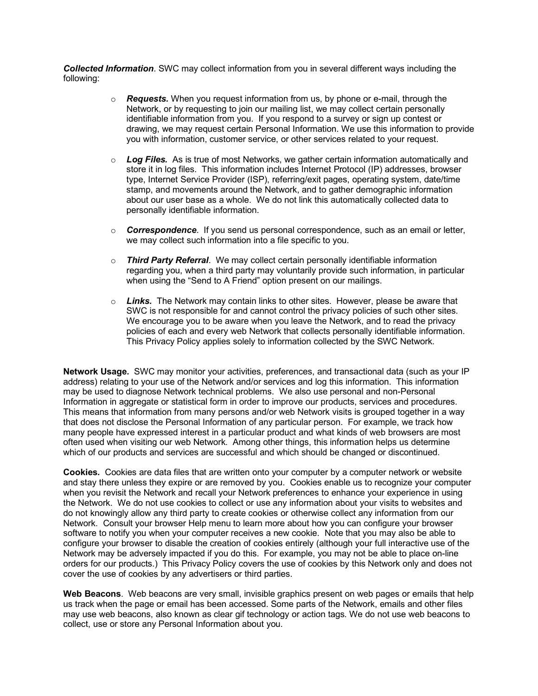*Collected Information*. SWC may collect information from you in several different ways including the following:

- o *Requests.* When you request information from us, by phone or e-mail, through the Network, or by requesting to join our mailing list, we may collect certain personally identifiable information from you. If you respond to a survey or sign up contest or drawing, we may request certain Personal Information. We use this information to provide you with information, customer service, or other services related to your request.
- o *Log Files.* As is true of most Networks, we gather certain information automatically and store it in log files. This information includes Internet Protocol (IP) addresses, browser type, Internet Service Provider (ISP), referring/exit pages, operating system, date/time stamp, and movements around the Network, and to gather demographic information about our user base as a whole. We do not link this automatically collected data to personally identifiable information.
- o *Correspondence*. If you send us personal correspondence, such as an email or letter, we may collect such information into a file specific to you.
- o *Third Party Referral*. We may collect certain personally identifiable information regarding you, when a third party may voluntarily provide such information, in particular when using the "Send to A Friend" option present on our mailings.
- o *Links.* The Network may contain links to other sites. However, please be aware that SWC is not responsible for and cannot control the privacy policies of such other sites. We encourage you to be aware when you leave the Network, and to read the privacy policies of each and every web Network that collects personally identifiable information. This Privacy Policy applies solely to information collected by the SWC Network.

**Network Usage***.* SWC may monitor your activities, preferences, and transactional data (such as your IP address) relating to your use of the Network and/or services and log this information. This information may be used to diagnose Network technical problems. We also use personal and non-Personal Information in aggregate or statistical form in order to improve our products, services and procedures. This means that information from many persons and/or web Network visits is grouped together in a way that does not disclose the Personal Information of any particular person. For example, we track how many people have expressed interest in a particular product and what kinds of web browsers are most often used when visiting our web Network. Among other things, this information helps us determine which of our products and services are successful and which should be changed or discontinued.

**Cookies***.* Cookies are data files that are written onto your computer by a computer network or website and stay there unless they expire or are removed by you. Cookies enable us to recognize your computer when you revisit the Network and recall your Network preferences to enhance your experience in using the Network. We do not use cookies to collect or use any information about your visits to websites and do not knowingly allow any third party to create cookies or otherwise collect any information from our Network. Consult your browser Help menu to learn more about how you can configure your browser software to notify you when your computer receives a new cookie. Note that you may also be able to configure your browser to disable the creation of cookies entirely (although your full interactive use of the Network may be adversely impacted if you do this. For example, you may not be able to place on-line orders for our products.) This Privacy Policy covers the use of cookies by this Network only and does not cover the use of cookies by any advertisers or third parties.

**Web Beacons**. Web beacons are very small, invisible graphics present on web pages or emails that help us track when the page or email has been accessed. Some parts of the Network, emails and other files may use web beacons, also known as clear gif technology or action tags. We do not use web beacons to collect, use or store any Personal Information about you.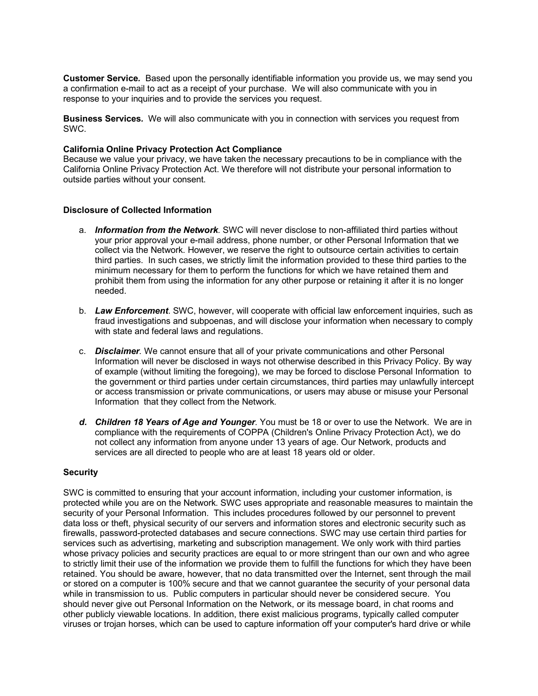**Customer Service***.* Based upon the personally identifiable information you provide us, we may send you a confirmation e-mail to act as a receipt of your purchase. We will also communicate with you in response to your inquiries and to provide the services you request.

**Business Services***.* We will also communicate with you in connection with services you request from SWC.

#### **California Online Privacy Protection Act Compliance**

Because we value your privacy, we have taken the necessary precautions to be in compliance with the California Online Privacy Protection Act. We therefore will not distribute your personal information to outside parties without your consent.

#### **Disclosure of Collected Information**

- a. *Information from the Network.* SWC will never disclose to non-affiliated third parties without your prior approval your e-mail address, phone number, or other Personal Information that we collect via the Network. However, we reserve the right to outsource certain activities to certain third parties. In such cases, we strictly limit the information provided to these third parties to the minimum necessary for them to perform the functions for which we have retained them and prohibit them from using the information for any other purpose or retaining it after it is no longer needed.
- b. *Law Enforcement*. SWC, however, will cooperate with official law enforcement inquiries, such as fraud investigations and subpoenas, and will disclose your information when necessary to comply with state and federal laws and regulations.
- c. *Disclaimer.* We cannot ensure that all of your private communications and other Personal Information will never be disclosed in ways not otherwise described in this Privacy Policy. By way of example (without limiting the foregoing), we may be forced to disclose Personal Information to the government or third parties under certain circumstances, third parties may unlawfully intercept or access transmission or private communications, or users may abuse or misuse your Personal Information that they collect from the Network.
- *d. Children 18 Years of Age and Younger.* You must be 18 or over to use the Network.We are in compliance with the requirements of COPPA (Children's Online Privacy Protection Act), we do not collect any information from anyone under 13 years of age. Our Network, products and services are all directed to people who are at least 18 years old or older.

#### **Security**

SWC is committed to ensuring that your account information, including your customer information, is protected while you are on the Network. SWC uses appropriate and reasonable measures to maintain the security of your Personal Information. This includes procedures followed by our personnel to prevent data loss or theft, physical security of our servers and information stores and electronic security such as firewalls, password-protected databases and secure connections. SWC may use certain third parties for services such as advertising, marketing and subscription management. We only work with third parties whose privacy policies and security practices are equal to or more stringent than our own and who agree to strictly limit their use of the information we provide them to fulfill the functions for which they have been retained. You should be aware, however, that no data transmitted over the Internet, sent through the mail or stored on a computer is 100% secure and that we cannot guarantee the security of your personal data while in transmission to us. Public computers in particular should never be considered secure. You should never give out Personal Information on the Network, or its message board, in chat rooms and other publicly viewable locations. In addition, there exist malicious programs, typically called computer viruses or trojan horses, which can be used to capture information off your computer's hard drive or while